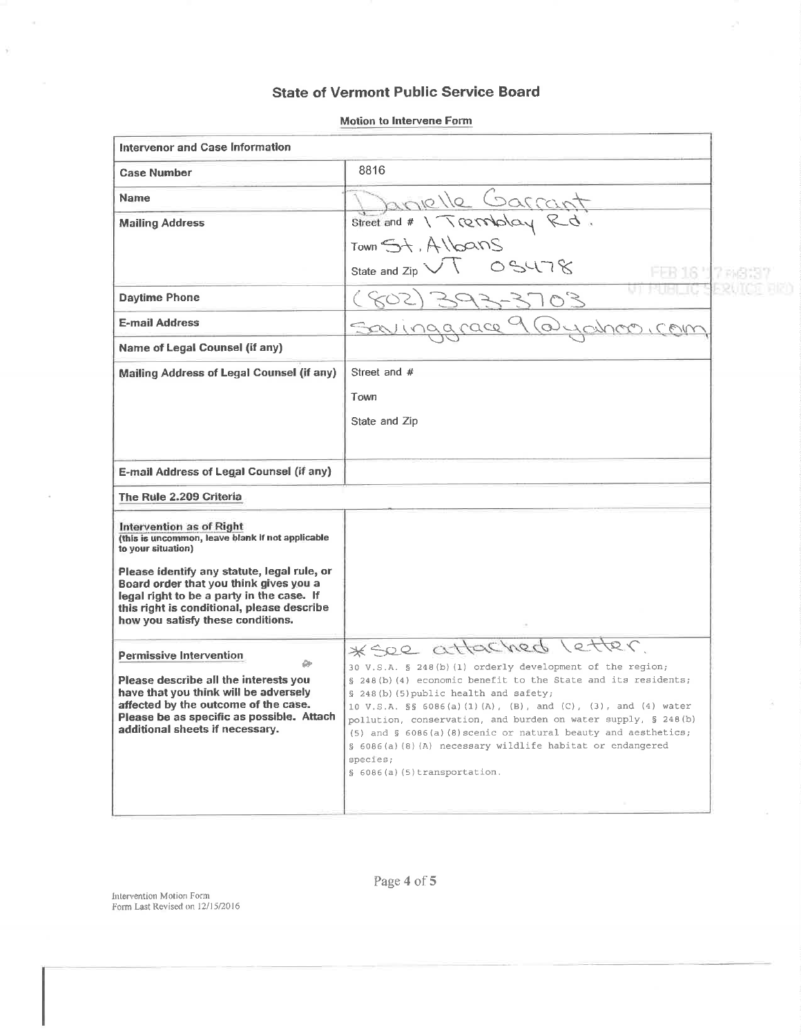# **State of Vermont Public Service Board**

| Intervenor and Case Information                                                                                                                                                                                                         |                                                                                                                                                                                                                                                                                                                                                                                                                                                                                                       |  |
|-----------------------------------------------------------------------------------------------------------------------------------------------------------------------------------------------------------------------------------------|-------------------------------------------------------------------------------------------------------------------------------------------------------------------------------------------------------------------------------------------------------------------------------------------------------------------------------------------------------------------------------------------------------------------------------------------------------------------------------------------------------|--|
| <b>Case Number</b>                                                                                                                                                                                                                      | 8816                                                                                                                                                                                                                                                                                                                                                                                                                                                                                                  |  |
| <b>Name</b>                                                                                                                                                                                                                             |                                                                                                                                                                                                                                                                                                                                                                                                                                                                                                       |  |
| <b>Mailing Address</b>                                                                                                                                                                                                                  | Street and # 1 Tremblay Rd.                                                                                                                                                                                                                                                                                                                                                                                                                                                                           |  |
|                                                                                                                                                                                                                                         | Town $5+$ , $A\log NS$                                                                                                                                                                                                                                                                                                                                                                                                                                                                                |  |
|                                                                                                                                                                                                                                         | 05478<br>State and Zip $\searrow$                                                                                                                                                                                                                                                                                                                                                                                                                                                                     |  |
| <b>Daytime Phone</b>                                                                                                                                                                                                                    | $507 - 3703$                                                                                                                                                                                                                                                                                                                                                                                                                                                                                          |  |
| <b>E-mail Address</b>                                                                                                                                                                                                                   | ingarace<br>C.<br>COUV                                                                                                                                                                                                                                                                                                                                                                                                                                                                                |  |
| <b>Name of Legal Counsel (if any)</b>                                                                                                                                                                                                   |                                                                                                                                                                                                                                                                                                                                                                                                                                                                                                       |  |
| Mailing Address of Legal Counsel (if any)                                                                                                                                                                                               | Street and #                                                                                                                                                                                                                                                                                                                                                                                                                                                                                          |  |
|                                                                                                                                                                                                                                         | Town                                                                                                                                                                                                                                                                                                                                                                                                                                                                                                  |  |
|                                                                                                                                                                                                                                         | State and Zip                                                                                                                                                                                                                                                                                                                                                                                                                                                                                         |  |
|                                                                                                                                                                                                                                         |                                                                                                                                                                                                                                                                                                                                                                                                                                                                                                       |  |
| E-mail Address of Legal Counsel (if any)                                                                                                                                                                                                |                                                                                                                                                                                                                                                                                                                                                                                                                                                                                                       |  |
| The Rule 2.209 Criteria                                                                                                                                                                                                                 |                                                                                                                                                                                                                                                                                                                                                                                                                                                                                                       |  |
| Intervention as of Right<br>(this is uncommon, leave blank if not applicable<br>to your situation)                                                                                                                                      |                                                                                                                                                                                                                                                                                                                                                                                                                                                                                                       |  |
| Please identify any statute, legal rule, or<br>Board order that you think gives you a<br>legal right to be a party in the case. If<br>this right is conditional, please describe<br>how you satisfy these conditions.                   |                                                                                                                                                                                                                                                                                                                                                                                                                                                                                                       |  |
| Permissive Intervention<br>۵Þ<br>Please describe all the interests you<br>have that you think will be adversely<br>affected by the outcome of the case.<br>Please be as specific as possible. Attach<br>additional sheets if necessary. | * See attached letter<br>30 V.S.A. § 248(b)(1) orderly development of the region;<br>§ 248(b)(4) economic benefit to the State and its residents;<br>§ 248(b)(5) public health and safety;<br>10 V.S.A. §§ 6086(a)(1)(A), (B), and (C), (3), and (4) water<br>pollution, conservation, and burden on water supply, § 248(b)<br>$(5)$ and § 6086(a)(8) scenic or natural beauty and aesthetics;<br>§ 6086(a)(8)(A) necessary wildlife habitat or endangered<br>species;<br>§ 6086(a)(5)transportation. |  |
|                                                                                                                                                                                                                                         |                                                                                                                                                                                                                                                                                                                                                                                                                                                                                                       |  |

**Motion to Intervene Form** 

Intervention Motion Form<br>Form Last Revised on 12/15/2016

 $\sim$ 

 $\tilde{\chi}$ 

Page 4 of 5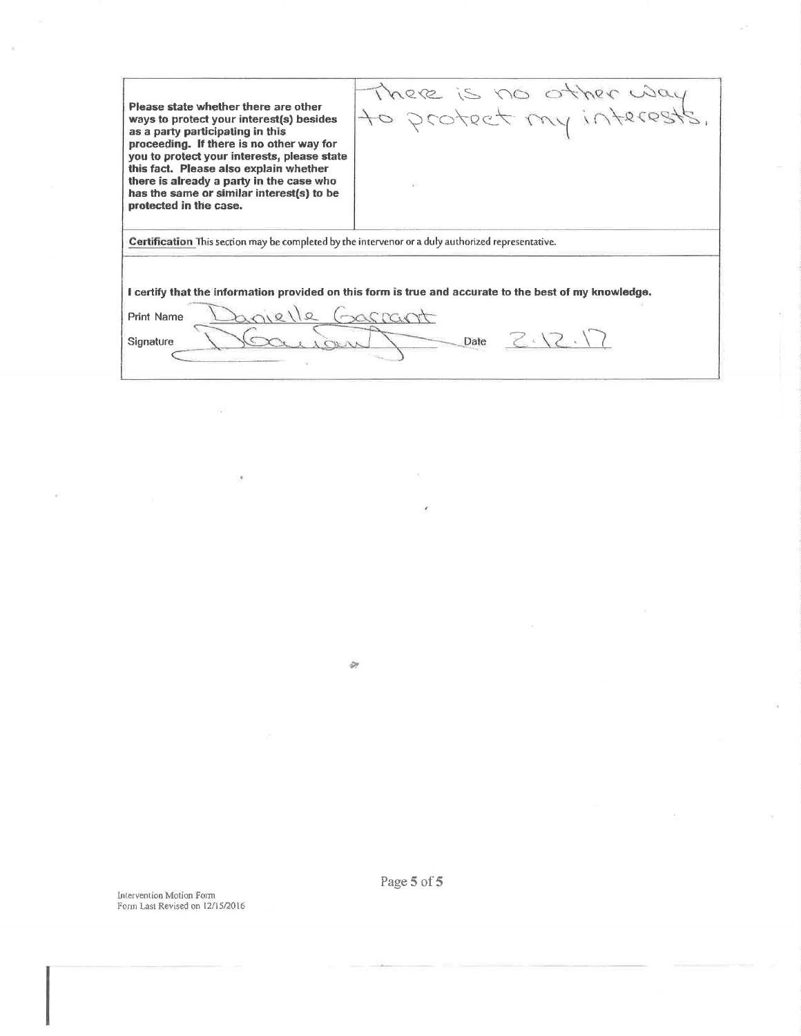Please state whether there are other ways to protect your interest(s) besides as a party participating in this proceeding. If there is no other way for you to protect your interests, please state this fact. Please also explain whether there is already a party in the case who has the same or similar interest(s) to be protected in the case.

There is no other way

Certification This section may be completed by the intervenor or a duly authorized representative.

I certify that the information provided on this form is true and accurate to the best of my knowledge.

 $811$ trascant  $\Omega$ Print Name Date  $Z \setminus Z \setminus \setminus$ Signature

 $\mathcal{D}$ 

Intervention Motion Form Form Last Revised on 12/15/2016 Page 5 of 5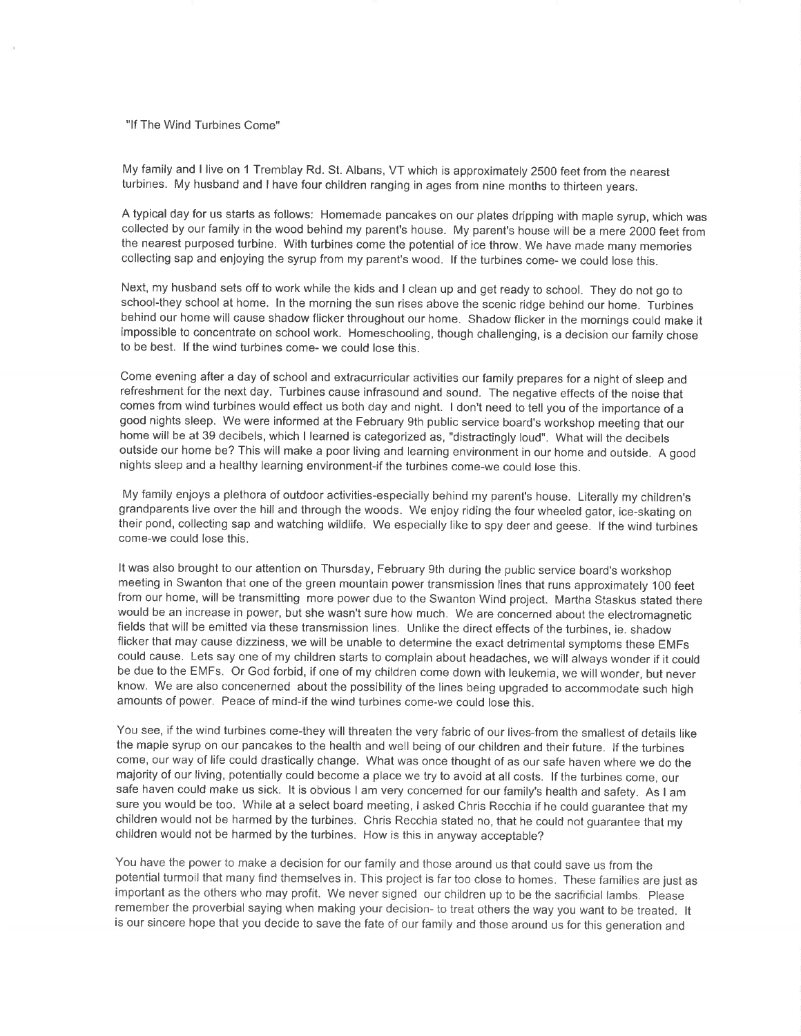#### "lf The Wind Turbines Come"

My family and I live on 1 Tremblay Rd. St. Albans, VT which is approximately 2500 feet from the nearest turbines. My husband and I have four children ranging in ages from nine months to thirteen years.

A typical day for us starts as follows: Homemade pancakes on our plates dripping with maple syrup, which was collected by our family in the wood behind my parent's house. My parent's house will be a mere 2000 feet from the nearest purposed turbine. With turbines come the potential of ice throw. We have made many memories collecting sap and enjoying the syrup from my parent's wood. lf the turbines come- we could lose this.

Next, my husband sets off to work while the kids and I clean up and get ready to school. They do not go to school-they school at home. In the morning the sun rises above the scenic ridge behind our home. Turbines behind our home will cause shadow flicker throughout our home. Shadow flicker in the mornings could make it impossible to concentrate on school work. Homeschooling, though challenging, is a decision our family chose to be best. lf the wind turbines come- we could lose this.

Come evening after a day of school and extracurricular activities our family prepares for a night of sleep and refreshment for the next day. Turbines cause infrasound and sound. The negative effects of the noise that comes from wind turbines would effect us both day and night. I don't need to tell you of the importance of <sup>a</sup> good nights sleep. We were informed at the February 9th public service board's workshop meeting that our home will be at 39 decibels, which I learned is categorized as, "distractingly loud". What will the decibels outside our home be? This will make a poor living and learning environment in our home and outside. A good nights sleep and a healthy learning environment-if the turbines come-we could lose this.

My family enjoys a plethora of outdoor activities-especially behind my parent's house. Literally my children's grandparents live over the hill and through the woods. We enjoy riding the four wheeled gator, ice-skating on their pond, collecting sap and watching wildlife. We especially like to spy deer and geese. lf the wind turbines come-we could lose this.

It was also brought to our attention on Thursday, February 9th during the public service board's workshop meeting in Swanton that one of the green mountain power transmission lines that runs approximately 100 feet from our home, will be transmitting more power due to the Swanton Wind project. Martha Staskus stated there would be an increase in power, but she wasn't sure how much. We are concerned about the electromagnetic fields that will be emitted via these transmission lines. Unlike the direct effects of the turbines, ie. shadow flicker that may cause dizziness, we will be unable to determine the exact detrimental symptoms these EMFs could cause. Lets say one of my children starts to complain about headaches, we will always wonder if it could be due to the EMFs. Or God forbid, if one of my children come down with leukemia, we will wonder, but never know. We are also concenerned about the possibility of the lines being upgraded to accommodate such high amounts of power. Peace of mind-if the wind turbines come-we could lose this.

You see, if the wind turbines come-they will threaten the very fabric of our lives-from the smallest of details like the maple syrup on our pancakes to the health and well being of our children and their future. lf the turbines come, our way of life could drastically change. What was once thought of as our safe haven where we do the majority of our living, potentially could become a place we try to avoid at all costs. lf the turbines come, our safe haven could make us sick. lt is obvious I am very concerned for our family's health and safety. As I am sure you would be too. While at a select board meeting, I asked Chris Recchia if he could guarantee that my children would not be harmed by the turbines. Chris Recchia stated no, that he could not guarantee that my children would not be harmed by the turbines. How is this in anyway acceptable?

You have the power to make a decision for our family and those around us that could save us from the potential turmoil that many find themselves in. This project is far too close to homes. These families are just as important as the others who may profit. We never signed our children up to be the sacrificial lambs. Please remember the proverbial saying when making your decision- to treat others the way you want to be treated. lt is our sincere hope that you decide to save the fate of our family and those around us for this generation and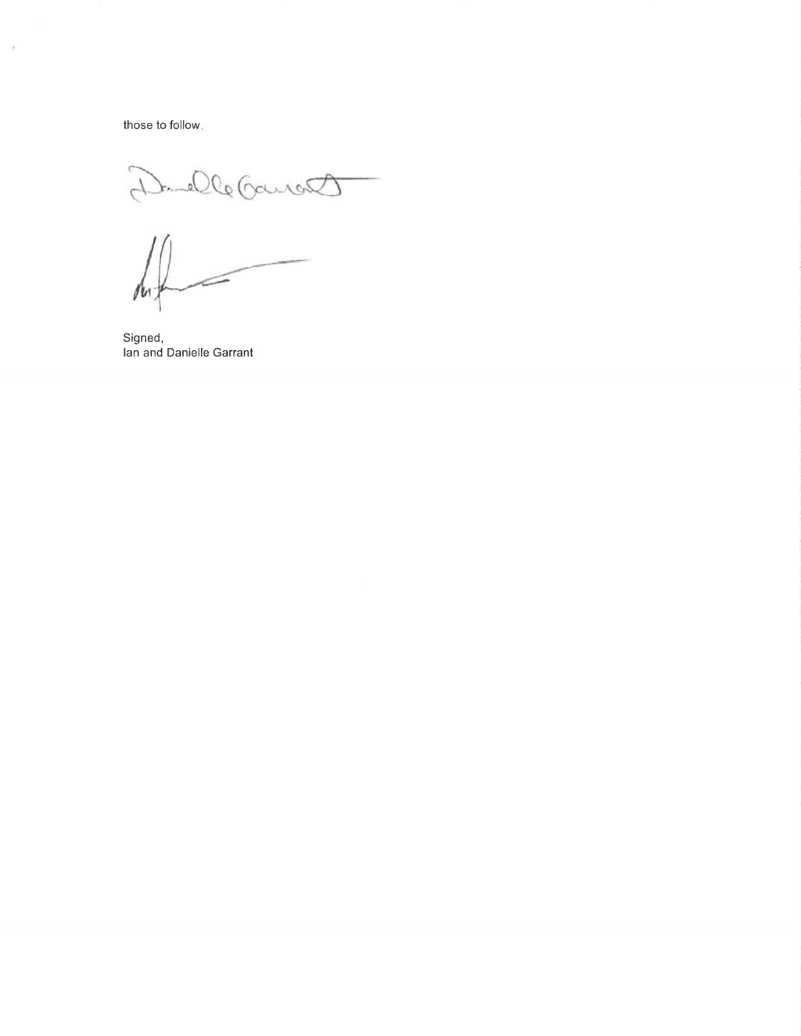those to follow.

Duelle Gaucett

Signed, lan and Danielle Garrant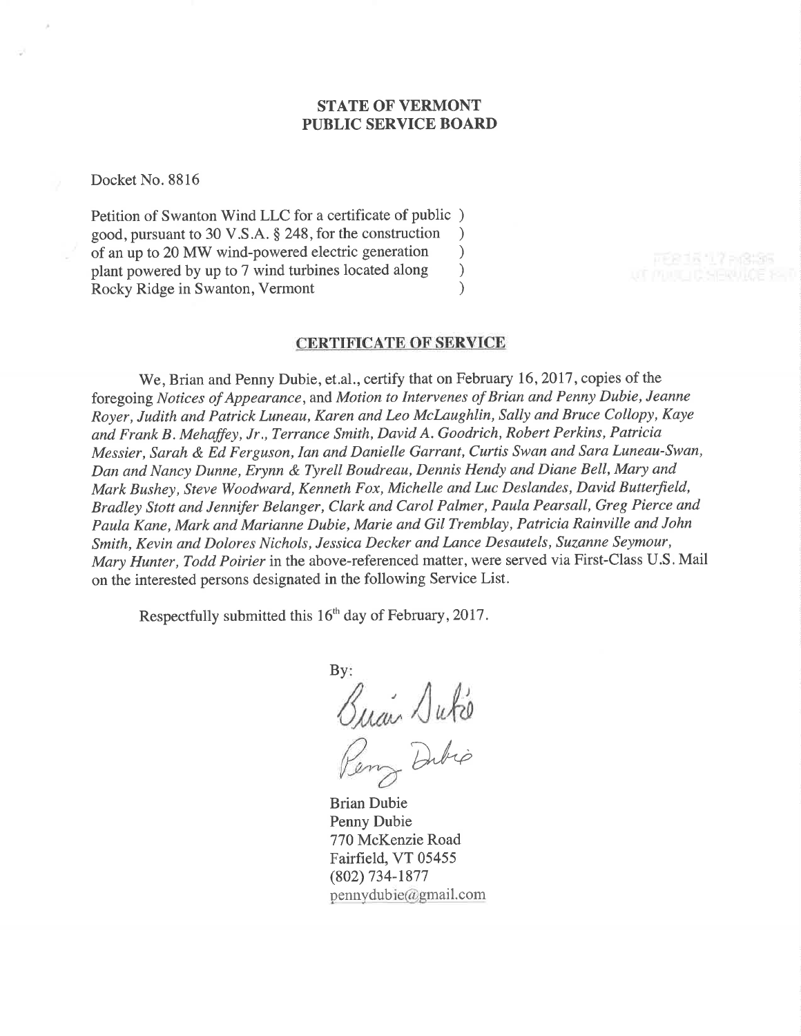## STATE OF VERMONT PUBLIC SERVICE BOARD

Docket No. 8816

Petition of Swanton Wind LLC for a certificate of public ) good, pursuant to 30 V.S.A. \$ 248, for the construction ) of an up to 20 MW wind-powered electric generation ) plant powered by up to 7 wind turbines located along <br>Rocky Ridge in Swanton, Vermont (a) Rocky Ridge in Swanton, Vermont )

#### CERTIFICATE OF SERVICE

We, Brian and Penny Dubie, et.al., certify that on February 16, 2017, copies of the foregoing Notices of Appearance, and Motion to Intervenes of Brian and Penny Dubie, Jeanne Royer, Judith and Patrick Luneau, Karen and Leo McLaughlin, Sally and Bruce Collopy, Kaye and Frank B. Mehaffey, Jr., Terrance Smith, David A. Goodrich, Robert Perkins, Patricia Messier, Sarah & Ed Ferguson, Ian and Danielle Garrant, Curtis Swan and Sara Luneau-Swan, Dan and Nancy Dunne, Erynn & Tyrell Boudreau, Dennis Hendy and Diane Bell, Mary and Mark Bushey, Steve Woodward, Kenneth Fox, Michelle and Luc Deslandes, David Butterfield, Bradley Stott and Jennifer Belanger, Clark and Carol Palmer, Paula Pearsall, Greg Pierce and Paula Kane, Mark and Marianne Dubie, Marie and Gil Tremblay, Patricia Rainville and John Smith, Kevin and Dolores Nichols, Jessica Decker and Lance Desautels, Suzanne Seymour, Mary Hunter, Todd Poirier in the above-referenced matter, were served via First-Class U.S. Mail on the interested persons designated in the following Service List.

Respectfully submitted this 16<sup>th</sup> day of February, 2017.

By:  $\sqrt{abc}$ D^i".

Brian Dubie Penny Dubie 770 McKenzie Road Fairfield, VT 05455 (802) 734-1877  $p$ ennydubie@gmail.com